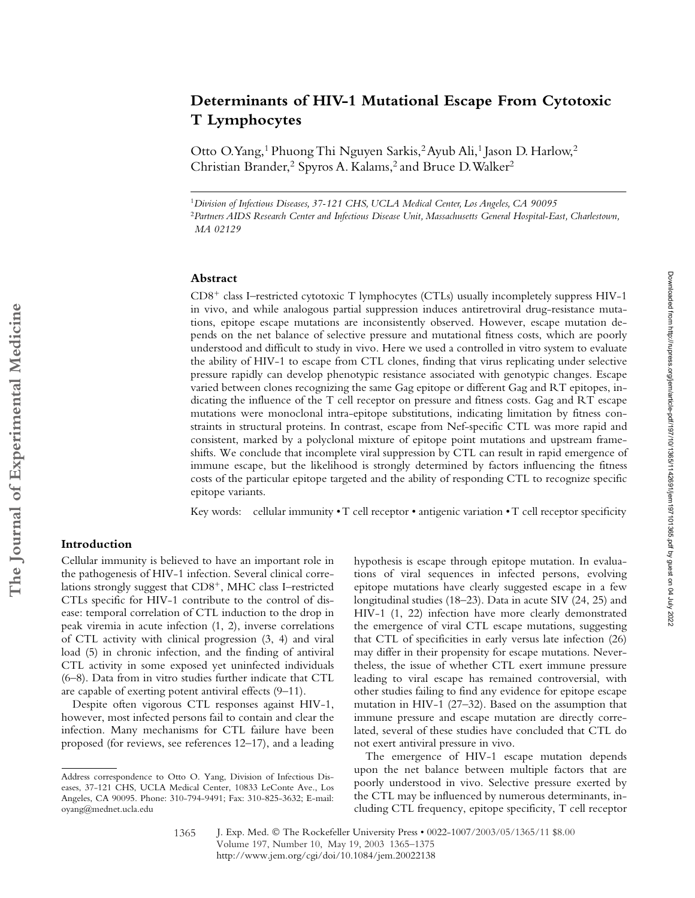# **Determinants of HIV-1 Mutational Escape From Cytotoxic T Lymphocytes**

Otto O. Yang,<sup>1</sup> Phuong Thi Nguyen Sarkis,<sup>2</sup> Ayub Ali,<sup>1</sup> Jason D. Harlow,<sup>2</sup> Christian Brander,<sup>2</sup> Spyros A. Kalams,<sup>2</sup> and Bruce D. Walker<sup>2</sup>

<sup>1</sup>*Division of Infectious Diseases, 37-121 CHS, UCLA Medical Center, Los Angeles, CA 90095* <sup>2</sup>*Partners AIDS Research Center and Infectious Disease Unit, Massachusetts General Hospital-East, Charlestown, MA 02129*

#### **Abstract**

CD8- class I–restricted cytotoxic T lymphocytes (CTLs) usually incompletely suppress HIV-1 in vivo, and while analogous partial suppression induces antiretroviral drug-resistance mutations, epitope escape mutations are inconsistently observed. However, escape mutation depends on the net balance of selective pressure and mutational fitness costs, which are poorly understood and difficult to study in vivo. Here we used a controlled in vitro system to evaluate the ability of HIV-1 to escape from CTL clones, finding that virus replicating under selective pressure rapidly can develop phenotypic resistance associated with genotypic changes. Escape varied between clones recognizing the same Gag epitope or different Gag and RT epitopes, indicating the influence of the T cell receptor on pressure and fitness costs. Gag and RT escape mutations were monoclonal intra-epitope substitutions, indicating limitation by fitness constraints in structural proteins. In contrast, escape from Nef-specific CTL was more rapid and consistent, marked by a polyclonal mixture of epitope point mutations and upstream frameshifts. We conclude that incomplete viral suppression by CTL can result in rapid emergence of immune escape, but the likelihood is strongly determined by factors influencing the fitness costs of the particular epitope targeted and the ability of responding CTL to recognize specific epitope variants.

Key words: cellular immunity • T cell receptor • antigenic variation • T cell receptor specificity

## **Introduction**

Cellular immunity is believed to have an important role in the pathogenesis of HIV-1 infection. Several clinical correlations strongly suggest that CD8<sup>+</sup>, MHC class I–restricted CTLs specific for HIV-1 contribute to the control of disease: temporal correlation of CTL induction to the drop in peak viremia in acute infection (1, 2), inverse correlations of CTL activity with clinical progression (3, 4) and viral load (5) in chronic infection, and the finding of antiviral CTL activity in some exposed yet uninfected individuals (6–8). Data from in vitro studies further indicate that CTL are capable of exerting potent antiviral effects (9–11).

Despite often vigorous CTL responses against HIV-1, however, most infected persons fail to contain and clear the infection. Many mechanisms for CTL failure have been proposed (for reviews, see references 12–17), and a leading

hypothesis is escape through epitope mutation. In evaluations of viral sequences in infected persons, evolving epitope mutations have clearly suggested escape in a few longitudinal studies (18–23). Data in acute SIV (24, 25) and HIV-1 (1, 22) infection have more clearly demonstrated the emergence of viral CTL escape mutations, suggesting that CTL of specificities in early versus late infection (26) may differ in their propensity for escape mutations. Nevertheless, the issue of whether CTL exert immune pressure leading to viral escape has remained controversial, with other studies failing to find any evidence for epitope escape mutation in HIV-1 (27–32). Based on the assumption that immune pressure and escape mutation are directly correlated, several of these studies have concluded that CTL do not exert antiviral pressure in vivo.

The emergence of HIV-1 escape mutation depends upon the net balance between multiple factors that are poorly understood in vivo. Selective pressure exerted by the CTL may be influenced by numerous determinants, including CTL frequency, epitope specificity, T cell receptor

Address correspondence to Otto O. Yang, Division of Infectious Diseases, 37-121 CHS, UCLA Medical Center, 10833 LeConte Ave., Los Angeles, CA 90095. Phone: 310-794-9491; Fax: 310-825-3632; E-mail: oyang@mednet.ucla.edu

<sup>1365</sup>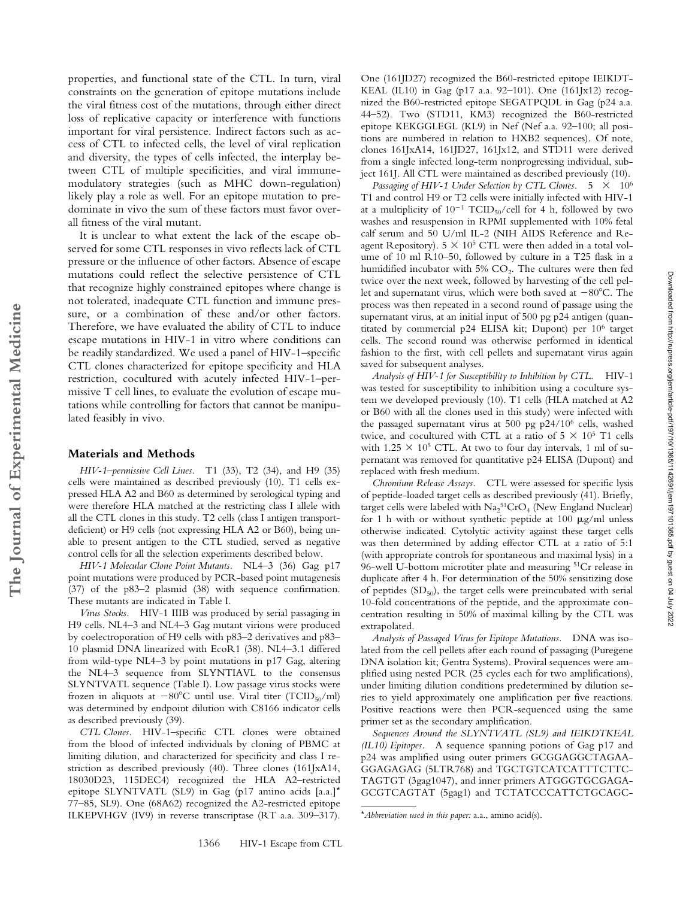properties, and functional state of the CTL. In turn, viral constraints on the generation of epitope mutations include the viral fitness cost of the mutations, through either direct loss of replicative capacity or interference with functions important for viral persistence. Indirect factors such as access of CTL to infected cells, the level of viral replication and diversity, the types of cells infected, the interplay between CTL of multiple specificities, and viral immunemodulatory strategies (such as MHC down-regulation) likely play a role as well. For an epitope mutation to predominate in vivo the sum of these factors must favor overall fitness of the viral mutant.

It is unclear to what extent the lack of the escape observed for some CTL responses in vivo reflects lack of CTL pressure or the influence of other factors. Absence of escape mutations could reflect the selective persistence of CTL that recognize highly constrained epitopes where change is not tolerated, inadequate CTL function and immune pressure, or a combination of these and/or other factors. Therefore, we have evaluated the ability of CTL to induce escape mutations in HIV-1 in vitro where conditions can be readily standardized. We used a panel of HIV-1–specific CTL clones characterized for epitope specificity and HLA restriction, cocultured with acutely infected HIV-1–permissive T cell lines, to evaluate the evolution of escape mutations while controlling for factors that cannot be manipulated feasibly in vivo.

#### **Materials and Methods**

**The Journal of Experimental Medicine**

The Journal of Experimental Medicine

*HIV-1–permissive Cell Lines.* T1 (33), T2 (34), and H9 (35) cells were maintained as described previously (10). T1 cells expressed HLA A2 and B60 as determined by serological typing and were therefore HLA matched at the restricting class I allele with all the CTL clones in this study. T2 cells (class I antigen transportdeficient) or H9 cells (not expressing HLA A2 or B60), being unable to present antigen to the CTL studied, served as negative control cells for all the selection experiments described below.

*HIV-1 Molecular Clone Point Mutants.* NL4–3 (36) Gag p17 point mutations were produced by PCR-based point mutagenesis (37) of the p83–2 plasmid (38) with sequence confirmation. These mutants are indicated in Table I.

*Virus Stocks.* HIV-1 IIIB was produced by serial passaging in H9 cells. NL4–3 and NL4–3 Gag mutant virions were produced by coelectroporation of H9 cells with p83–2 derivatives and p83– 10 plasmid DNA linearized with EcoR1 (38). NL4–3.1 differed from wild-type NL4–3 by point mutations in p17 Gag, altering the NL4–3 sequence from SLYNTIAVL to the consensus SLYNTVATL sequence (Table I). Low passage virus stocks were frozen in aliquots at  $-80^{\circ}$ C until use. Viral titer (TCID<sub>50</sub>/ml) was determined by endpoint dilution with C8166 indicator cells as described previously (39).

*CTL Clones.* HIV-1–specific CTL clones were obtained from the blood of infected individuals by cloning of PBMC at limiting dilution, and characterized for specificity and class I restriction as described previously (40). Three clones (161JxA14, 18030D23, 115DEC4) recognized the HLA A2–restricted epitope SLYNTVATL (SL9) in Gag (p17 amino acids [a.a.]\* 77–85, SL9). One (68A62) recognized the A2-restricted epitope ILKEPVHGV (IV9) in reverse transcriptase (RT a.a. 309–317).

One (161JD27) recognized the B60-restricted epitope IEIKDT-KEAL (IL10) in Gag (p17 a.a. 92–101). One (161Jx12) recognized the B60-restricted epitope SEGATPQDL in Gag (p24 a.a. 44–52). Two (STD11, KM3) recognized the B60-restricted epitope KEKGGLEGL (KL9) in Nef (Nef a.a. 92–100; all positions are numbered in relation to HXB2 sequences). Of note, clones 161JxA14, 161JD27, 161Jx12, and STD11 were derived from a single infected long-term nonprogressing individual, subject 161J. All CTL were maintained as described previously (10).

Passaging of HIV-1 Under Selection by CTL Clones.  $5 \times 10^6$ T1 and control H9 or T2 cells were initially infected with HIV-1 at a multiplicity of  $10^{-1}$  TCID<sub>50</sub>/cell for 4 h, followed by two washes and resuspension in RPMI supplemented with 10% fetal calf serum and 50 U/ml IL-2 (NIH AIDS Reference and Reagent Repository).  $5 \times 10^5$  CTL were then added in a total volume of 10 ml R10–50, followed by culture in a T25 flask in a humidified incubator with  $5\%$   $CO<sub>2</sub>$ . The cultures were then fed twice over the next week, followed by harvesting of the cell pellet and supernatant virus, which were both saved at  $-80^{\circ}$ C. The process was then repeated in a second round of passage using the supernatant virus, at an initial input of 500 pg p24 antigen (quantitated by commercial p24 ELISA kit; Dupont) per 106 target cells. The second round was otherwise performed in identical fashion to the first, with cell pellets and supernatant virus again saved for subsequent analyses.

*Analysis of HIV-1 for Susceptibility to Inhibition by CTL.* HIV-1 was tested for susceptibility to inhibition using a coculture system we developed previously (10). T1 cells (HLA matched at A2 or B60 with all the clones used in this study) were infected with the passaged supernatant virus at 500 pg p24/106 cells, washed twice, and cocultured with CTL at a ratio of  $5 \times 10^5$  T1 cells with 1.25  $\times$  10<sup>5</sup> CTL. At two to four day intervals, 1 ml of supernatant was removed for quantitative p24 ELISA (Dupont) and replaced with fresh medium.

*Chromium Release Assays.* CTL were assessed for specific lysis of peptide-loaded target cells as described previously (41). Briefly, target cells were labeled with  $\text{Na}_2{}^{51}\text{CrO}_4$  (New England Nuclear) for 1 h with or without synthetic peptide at 100  $\mu$ g/ml unless otherwise indicated. Cytolytic activity against these target cells was then determined by adding effector CTL at a ratio of 5:1 (with appropriate controls for spontaneous and maximal lysis) in a 96-well U-bottom microtiter plate and measuring 51Cr release in duplicate after 4 h. For determination of the 50% sensitizing dose of peptides  $(SD_{50})$ , the target cells were preincubated with serial 10-fold concentrations of the peptide, and the approximate concentration resulting in 50% of maximal killing by the CTL was extrapolated.

*Analysis of Passaged Virus for Epitope Mutations.* DNA was isolated from the cell pellets after each round of passaging (Puregene DNA isolation kit; Gentra Systems). Proviral sequences were amplified using nested PCR (25 cycles each for two amplifications), under limiting dilution conditions predetermined by dilution series to yield approximately one amplification per five reactions. Positive reactions were then PCR-sequenced using the same primer set as the secondary amplification.

*Sequences Around the SLYNTVATL (SL9) and IEIKDTKEAL (IL10) Epitopes.* A sequence spanning potions of Gag p17 and p24 was amplified using outer primers GCGGAGGCTAGAA-GGAGAGAG (5LTR768) and TGCTGTCATCATTTCTTC-TAGTGT (3gag1047), and inner primers ATGGGTGCGAGA-GCGTCAGTAT (5gag1) and TCTATCCCATTCTGCAGC-

<sup>\*</sup>*Abbreviation used in this paper:* a.a., amino acid(s).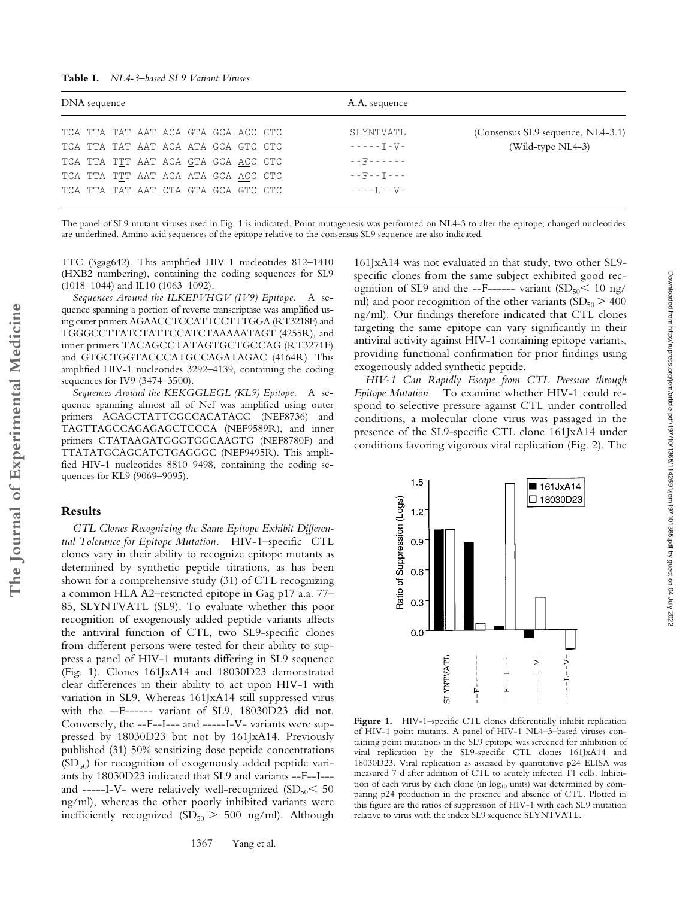| DNA sequence |  |  |  |  |  |                                     |  | A.A. sequence             |                                   |  |
|--------------|--|--|--|--|--|-------------------------------------|--|---------------------------|-----------------------------------|--|
|              |  |  |  |  |  | TCA TTA TAT AAT ACA GTA GCA ACC CTC |  | SLYNTVATL                 | (Consensus SL9 sequence, NL4-3.1) |  |
|              |  |  |  |  |  | TCA TTA TAT AAT ACA ATA GCA GTC CTC |  | $- - - - - - - - - - - -$ | $(Wild-type NLA-3)$               |  |
|              |  |  |  |  |  | TCA TTA TTT AAT ACA GTA GCA ACC CTC |  | $-$ - $F$ - - - - - -     |                                   |  |
|              |  |  |  |  |  | TCA TTA TTT AAT ACA ATA GCA ACC CTC |  | $- - F - - T - - -$       |                                   |  |
|              |  |  |  |  |  | TCA TTA TAT AAT CTA GTA GCA GTC CTC |  | $- - - - 1 - - 1$         |                                   |  |

The panel of SL9 mutant viruses used in Fig. 1 is indicated. Point mutagenesis was performed on NL4-3 to alter the epitope; changed nucleotides are underlined. Amino acid sequences of the epitope relative to the consensus SL9 sequence are also indicated.

TTC (3gag642). This amplified HIV-1 nucleotides 812–1410 (HXB2 numbering), containing the coding sequences for SL9 (1018–1044) and IL10 (1063–1092).

*Sequences Around the ILKEPVHGV (IV9) Epitope.* A sequence spanning a portion of reverse transcriptase was amplified using outer primers AGAACCTCCATTCCTTTGGA (RT3218F) and TGGGCCTTATCTATTCCATCTAAAAATAGT (4255R), and inner primers TACAGCCTATAGTGCTGCCAG (RT3271F) and GTGCTGGTACCCATGCCAGATAGAC (4164R). This amplified HIV-1 nucleotides 3292–4139, containing the coding sequences for IV9 (3474–3500).

*Sequences Around the KEKGGLEGL (KL9) Epitope.* A sequence spanning almost all of Nef was amplified using outer primers AGAGCTATTCGCCACATACC (NEF8736) and TAGTTAGCCAGAGAGCTCCCA (NEF9589R), and inner primers CTATAAGATGGGTGGCAAGTG (NEF8780F) and TTATATGCAGCATCTGAGGGC (NEF9495R). This amplified HIV-1 nucleotides 8810–9498, containing the coding sequences for KL9 (9069–9095).

## **Results**

*CTL Clones Recognizing the Same Epitope Exhibit Differential Tolerance for Epitope Mutation.* HIV-1–specific CTL clones vary in their ability to recognize epitope mutants as determined by synthetic peptide titrations, as has been shown for a comprehensive study (31) of CTL recognizing a common HLA A2–restricted epitope in Gag p17 a.a. 77– 85, SLYNTVATL (SL9). To evaluate whether this poor recognition of exogenously added peptide variants affects the antiviral function of CTL, two SL9-specific clones from different persons were tested for their ability to suppress a panel of HIV-1 mutants differing in SL9 sequence (Fig. 1). Clones 161JxA14 and 18030D23 demonstrated clear differences in their ability to act upon HIV-1 with variation in SL9. Whereas 161JxA14 still suppressed virus with the --F------ variant of SL9, 18030D23 did not. Conversely, the --F--I--- and -----I-V- variants were suppressed by 18030D23 but not by 161JxA14. Previously published (31) 50% sensitizing dose peptide concentrations  $(SD<sub>50</sub>)$  for recognition of exogenously added peptide variants by 18030D23 indicated that SL9 and variants --F--I-- and -----I-V- were relatively well-recognized  $(SD_{50} < 50$ ng/ml), whereas the other poorly inhibited variants were inefficiently recognized  $(SD_{50} > 500$  ng/ml). Although

1367 Yang et al.

161JxA14 was not evaluated in that study, two other SL9 specific clones from the same subject exhibited good recognition of SL9 and the --F------ variant  $(SD_{50} < 10 \text{ ng/m})$ ml) and poor recognition of the other variants  $SD_{50} > 400$ ng/ml). Our findings therefore indicated that CTL clones targeting the same epitope can vary significantly in their antiviral activity against HIV-1 containing epitope variants, providing functional confirmation for prior findings using exogenously added synthetic peptide.

*HIV-1 Can Rapidly Escape from CTL Pressure through Epitope Mutation.* To examine whether HIV-1 could respond to selective pressure against CTL under controlled conditions, a molecular clone virus was passaged in the presence of the SL9-specific CTL clone 161JxA14 under conditions favoring vigorous viral replication (Fig. 2). The



Figure 1. HIV-1-specific CTL clones differentially inhibit replication of HIV-1 point mutants. A panel of HIV-1 NL4–3–based viruses containing point mutations in the SL9 epitope was screened for inhibition of viral replication by the SL9-specific CTL clones 161JxA14 and 18030D23. Viral replication as assessed by quantitative p24 ELISA was measured 7 d after addition of CTL to acutely infected T1 cells. Inhibition of each virus by each clone (in  $log_{10}$  units) was determined by comparing p24 production in the presence and absence of CTL. Plotted in this figure are the ratios of suppression of HIV-1 with each SL9 mutation relative to virus with the index SL9 sequence SLYNTVATL.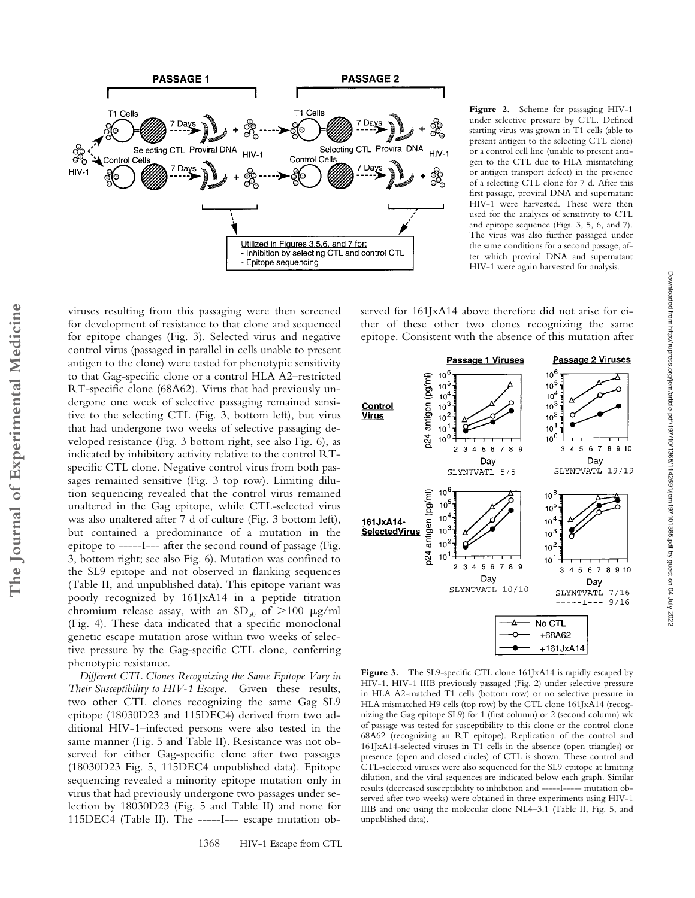

**Figure 2.** Scheme for passaging HIV-1 under selective pressure by CTL. Defined starting virus was grown in T1 cells (able to present antigen to the selecting CTL clone) or a control cell line (unable to present antigen to the CTL due to HLA mismatching or antigen transport defect) in the presence of a selecting CTL clone for 7 d. After this first passage, proviral DNA and supernatant HIV-1 were harvested. These were then used for the analyses of sensitivity to CTL and epitope sequence (Figs. 3, 5, 6, and 7). The virus was also further passaged under the same conditions for a second passage, after which proviral DNA and supernatant HIV-1 were again harvested for analysis.

Downloaded from http://rupress.org/jem/article-pdf/197/10/1365/1142691/jem197101365.pdf by guest on 04 July 2022

Downloaded from http://rupress.org/jenr/article-pdf/197/10/13661/jem197101365.pdf by guest on 04 July 2022

served for 161JxA14 above therefore did not arise for either of these other two clones recognizing the same epitope. Consistent with the absence of this mutation after



Figure 3. The SL9-specific CTL clone 161JxA14 is rapidly escaped by HIV-1. HIV-1 IIIB previously passaged (Fig. 2) under selective pressure in HLA A2-matched T1 cells (bottom row) or no selective pressure in HLA mismatched H9 cells (top row) by the CTL clone 161JxA14 (recognizing the Gag epitope SL9) for 1 (first column) or 2 (second column) wk of passage was tested for susceptibility to this clone or the control clone 68A62 (recognizing an RT epitope). Replication of the control and 161JxA14-selected viruses in T1 cells in the absence (open triangles) or presence (open and closed circles) of CTL is shown. These control and CTL-selected viruses were also sequenced for the SL9 epitope at limiting dilution, and the viral sequences are indicated below each graph. Similar results (decreased susceptibility to inhibition and -----I----- mutation observed after two weeks) were obtained in three experiments using HIV-1 IIIB and one using the molecular clone NL4–3.1 (Table II, Fig. 5, and unpublished data).

viruses resulting from this passaging were then screened for development of resistance to that clone and sequenced for epitope changes (Fig. 3). Selected virus and negative control virus (passaged in parallel in cells unable to present antigen to the clone) were tested for phenotypic sensitivity to that Gag-specific clone or a control HLA A2–restricted RT-specific clone (68A62). Virus that had previously undergone one week of selective passaging remained sensitive to the selecting CTL (Fig. 3, bottom left), but virus that had undergone two weeks of selective passaging developed resistance (Fig. 3 bottom right, see also Fig. 6), as indicated by inhibitory activity relative to the control RTspecific CTL clone. Negative control virus from both passages remained sensitive (Fig. 3 top row). Limiting dilution sequencing revealed that the control virus remained unaltered in the Gag epitope, while CTL-selected virus was also unaltered after 7 d of culture (Fig. 3 bottom left), but contained a predominance of a mutation in the epitope to -----I--- after the second round of passage (Fig. 3, bottom right; see also Fig. 6). Mutation was confined to the SL9 epitope and not observed in flanking sequences (Table II, and unpublished data). This epitope variant was poorly recognized by 161JxA14 in a peptide titration chromium release assay, with an  $SD_{50}$  of  $>100 \mu g/ml$ (Fig. 4). These data indicated that a specific monoclonal genetic escape mutation arose within two weeks of selective pressure by the Gag-specific CTL clone, conferring phenotypic resistance.

*Different CTL Clones Recognizing the Same Epitope Vary in Their Susceptibility to HIV-1 Escape.* Given these results, two other CTL clones recognizing the same Gag SL9 epitope (18030D23 and 115DEC4) derived from two additional HIV-1–infected persons were also tested in the same manner (Fig. 5 and Table II). Resistance was not observed for either Gag-specific clone after two passages (18030D23 Fig. 5, 115DEC4 unpublished data). Epitope sequencing revealed a minority epitope mutation only in virus that had previously undergone two passages under selection by 18030D23 (Fig. 5 and Table II) and none for 115DEC4 (Table II). The -----I--- escape mutation ob-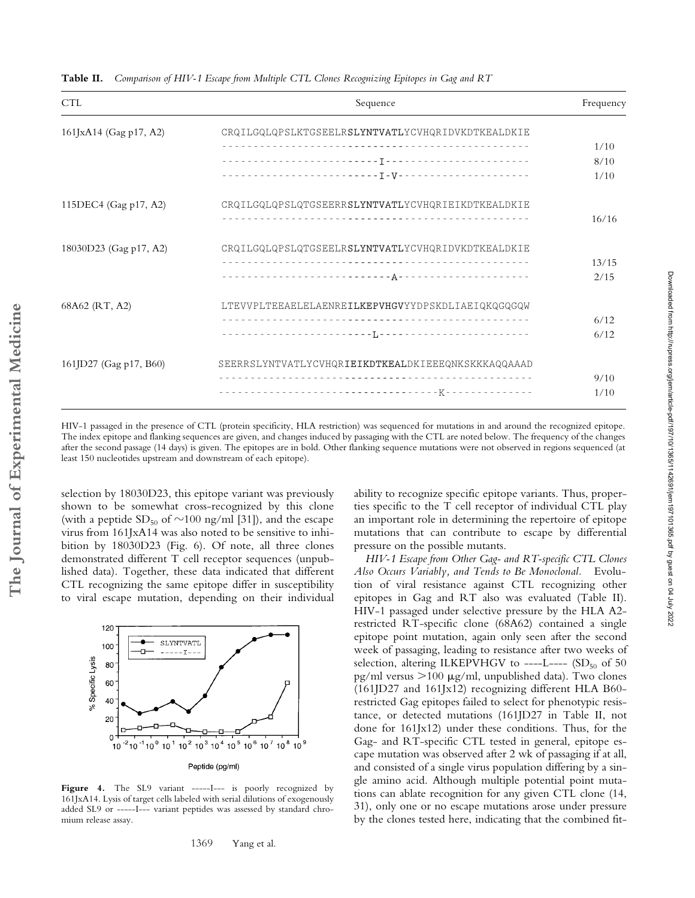| <b>CTL</b>             | Sequence                                           | Frequency |
|------------------------|----------------------------------------------------|-----------|
| 161JxA14 (Gag p17, A2) | CRQILGQLQPSLKTGSEELRSLYNTVATLYCVHQRIDVKDTKEALDKIE  |           |
|                        |                                                    | 1/10      |
|                        |                                                    | 8/10      |
|                        |                                                    | 1/10      |
| 115DEC4 (Gag p17, A2)  | CRQILGQLQPSLQTGSEERRSLYNTVATLYCVHQRIEIKDTKEALDKIE  |           |
|                        |                                                    | 16/16     |
| 18030D23 (Gag p17, A2) | CRQILGQLQPSLQTGSEELRSLYNTVATLYCVHQRIDVKDTKEALDKIE  |           |
|                        |                                                    | 13/15     |
|                        |                                                    | 2/15      |
| 68A62 (RT, A2)         | LTEVVPLTEEAELELAENREILKEPVHGVYYDPSKDLIAEIQKQGQGQW  |           |
|                        |                                                    | 6/12      |
|                        |                                                    | 6/12      |
| 161JD27 (Gag p17, B60) | SEERRSLYNTVATLYCVHQRIEIKDTKEALDKIEEEQNKSKKKAQQAAAD |           |
|                        |                                                    | 9/10      |
|                        |                                                    | 1/10      |

**Table II.** *Comparison of HIV-1 Escape from Multiple CTL Clones Recognizing Epitopes in Gag and RT*

HIV-1 passaged in the presence of CTL (protein specificity, HLA restriction) was sequenced for mutations in and around the recognized epitope. The index epitope and flanking sequences are given, and changes induced by passaging with the CTL are noted below. The frequency of the changes after the second passage (14 days) is given. The epitopes are in bold. Other flanking sequence mutations were not observed in regions sequenced (at least 150 nucleotides upstream and downstream of each epitope).

selection by 18030D23, this epitope variant was previously shown to be somewhat cross-recognized by this clone (with a peptide  $SD_{50}$  of  $\sim$ 100 ng/ml [31]), and the escape virus from 161JxA14 was also noted to be sensitive to inhibition by 18030D23 (Fig. 6). Of note, all three clones demonstrated different T cell receptor sequences (unpublished data). Together, these data indicated that different CTL recognizing the same epitope differ in susceptibility to viral escape mutation, depending on their individual



Figure 4. The SL9 variant -----I--- is poorly recognized by 161JxA14. Lysis of target cells labeled with serial dilutions of exogenously added SL9 or -----I--- variant peptides was assessed by standard chro----I--- variant peptides was assessed by standard chromium release assay.

ability to recognize specific epitope variants. Thus, properties specific to the T cell receptor of individual CTL play an important role in determining the repertoire of epitope mutations that can contribute to escape by differential pressure on the possible mutants.

*HIV-1 Escape from Other Gag- and RT-specific CTL Clones Also Occurs Variably, and Tends to Be Monoclonal.* Evolution of viral resistance against CTL recognizing other epitopes in Gag and RT also was evaluated (Table II). HIV-1 passaged under selective pressure by the HLA A2 restricted RT-specific clone (68A62) contained a single epitope point mutation, again only seen after the second week of passaging, leading to resistance after two weeks of selection, altering ILKEPVHGV to ----L----  $(SD<sub>50</sub>$  of 50 pg/ml versus  $>100 \mu$ g/ml, unpublished data). Two clones (161JD27 and 161Jx12) recognizing different HLA B60 restricted Gag epitopes failed to select for phenotypic resistance, or detected mutations (161JD27 in Table II, not done for 161Jx12) under these conditions. Thus, for the Gag- and RT-specific CTL tested in general, epitope escape mutation was observed after 2 wk of passaging if at all, and consisted of a single virus population differing by a single amino acid. Although multiple potential point mutations can ablate recognition for any given CTL clone (14, 31), only one or no escape mutations arose under pressure by the clones tested here, indicating that the combined fit-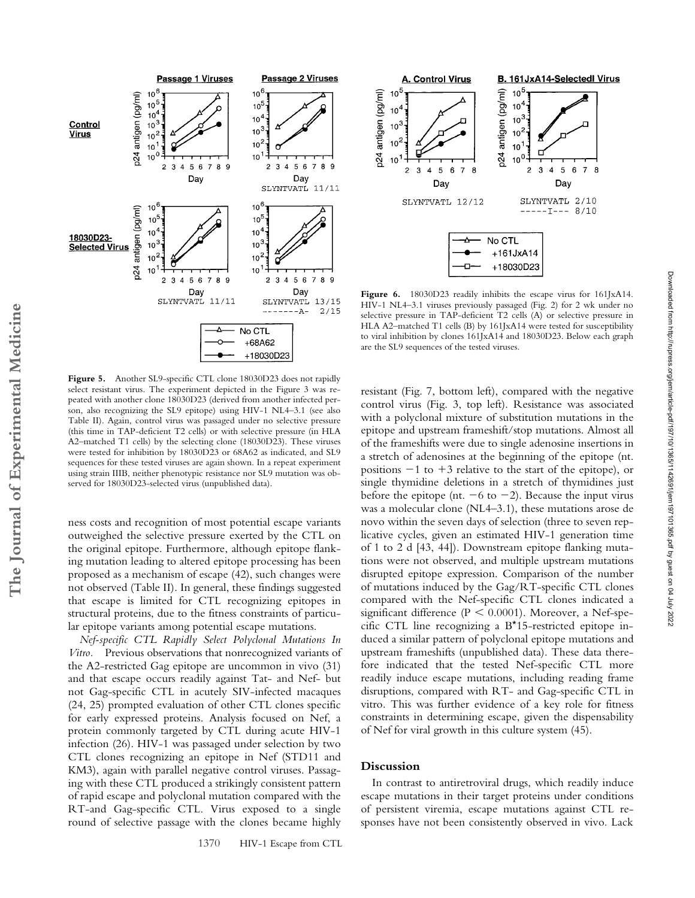

Figure 5. Another SL9-specific CTL clone 18030D23 does not rapidly select resistant virus. The experiment depicted in the Figure 3 was repeated with another clone 18030D23 (derived from another infected person, also recognizing the SL9 epitope) using HIV-1 NL4–3.1 (see also Table II). Again, control virus was passaged under no selective pressure (this time in TAP-deficient T2 cells) or with selective pressure (in HLA A2–matched T1 cells) by the selecting clone (18030D23). These viruses were tested for inhibition by 18030D23 or 68A62 as indicated, and SL9 sequences for these tested viruses are again shown. In a repeat experiment using strain IIIB, neither phenotypic resistance nor SL9 mutation was observed for 18030D23-selected virus (unpublished data).

ness costs and recognition of most potential escape variants outweighed the selective pressure exerted by the CTL on the original epitope. Furthermore, although epitope flanking mutation leading to altered epitope processing has been proposed as a mechanism of escape (42), such changes were not observed (Table II). In general, these findings suggested that escape is limited for CTL recognizing epitopes in structural proteins, due to the fitness constraints of particular epitope variants among potential escape mutations.

*Nef-specific CTL Rapidly Select Polyclonal Mutations In Vitro.* Previous observations that nonrecognized variants of the A2-restricted Gag epitope are uncommon in vivo (31) and that escape occurs readily against Tat- and Nef- but not Gag-specific CTL in acutely SIV-infected macaques (24, 25) prompted evaluation of other CTL clones specific for early expressed proteins. Analysis focused on Nef, a protein commonly targeted by CTL during acute HIV-1 infection (26). HIV-1 was passaged under selection by two CTL clones recognizing an epitope in Nef (STD11 and KM3), again with parallel negative control viruses. Passaging with these CTL produced a strikingly consistent pattern of rapid escape and polyclonal mutation compared with the RT-and Gag-specific CTL. Virus exposed to a single round of selective passage with the clones became highly

1370 HIV-1 Escape from CTL



**Figure 6.** 18030D23 readily inhibits the escape virus for 161JxA14. HIV-1 NL4–3.1 viruses previously passaged (Fig. 2) for 2 wk under no selective pressure in TAP-deficient T2 cells (A) or selective pressure in HLA A2–matched T1 cells (B) by 161JxA14 were tested for susceptibility to viral inhibition by clones 161JxA14 and 18030D23. Below each graph are the SL9 sequences of the tested viruses.

resistant (Fig. 7, bottom left), compared with the negative control virus (Fig. 3, top left). Resistance was associated with a polyclonal mixture of substitution mutations in the epitope and upstream frameshift/stop mutations. Almost all of the frameshifts were due to single adenosine insertions in a stretch of adenosines at the beginning of the epitope (nt. positions  $-1$  to  $+3$  relative to the start of the epitope), or single thymidine deletions in a stretch of thymidines just before the epitope (nt.  $-6$  to  $-2$ ). Because the input virus was a molecular clone (NL4–3.1), these mutations arose de novo within the seven days of selection (three to seven replicative cycles, given an estimated HIV-1 generation time of 1 to 2 d [43, 44]). Downstream epitope flanking mutations were not observed, and multiple upstream mutations disrupted epitope expression. Comparison of the number of mutations induced by the Gag/RT-specific CTL clones compared with the Nef-specific CTL clones indicated a significant difference ( $P \le 0.0001$ ). Moreover, a Nef-specific CTL line recognizing a B\*15-restricted epitope induced a similar pattern of polyclonal epitope mutations and upstream frameshifts (unpublished data). These data therefore indicated that the tested Nef-specific CTL more readily induce escape mutations, including reading frame disruptions, compared with RT- and Gag-specific CTL in vitro. This was further evidence of a key role for fitness constraints in determining escape, given the dispensability of Nef for viral growth in this culture system (45).

### **Discussion**

In contrast to antiretroviral drugs, which readily induce escape mutations in their target proteins under conditions of persistent viremia, escape mutations against CTL responses have not been consistently observed in vivo*.* Lack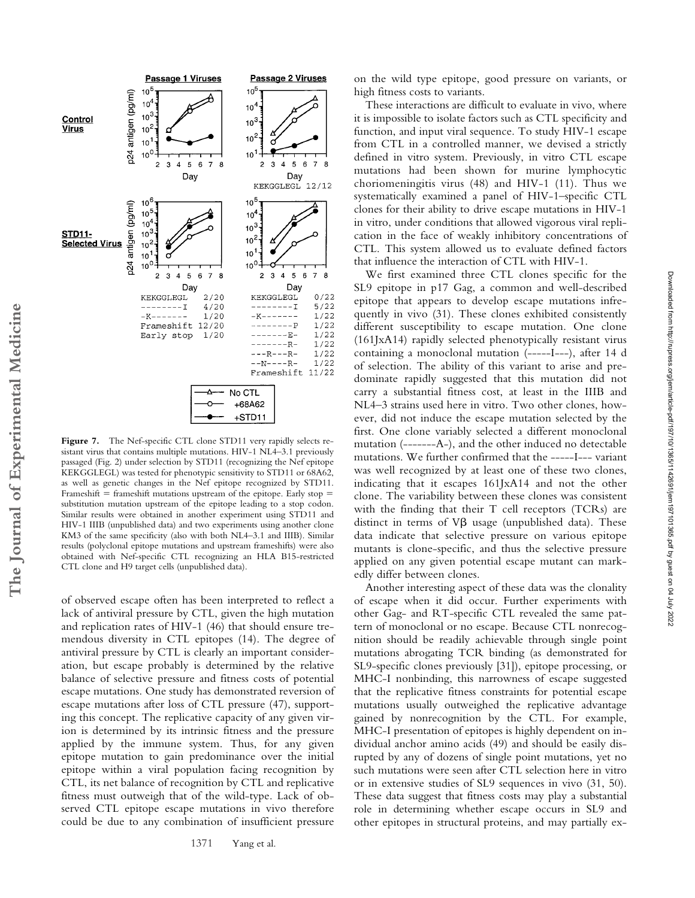

Figure 7. The Nef-specific CTL clone STD11 very rapidly selects resistant virus that contains multiple mutations. HIV-1 NL4–3.1 previously passaged (Fig. 2) under selection by STD11 (recognizing the Nef epitope KEKGGLEGL) was tested for phenotypic sensitivity to STD11 or 68A62, as well as genetic changes in the Nef epitope recognized by STD11. Frameshift  $=$  frameshift mutations upstream of the epitope. Early stop  $=$ substitution mutation upstream of the epitope leading to a stop codon. Similar results were obtained in another experiment using STD11 and HIV-1 IIIB (unpublished data) and two experiments using another clone KM3 of the same specificity (also with both NL4–3.1 and IIIB). Similar results (polyclonal epitope mutations and upstream frameshifts) were also obtained with Nef-specific CTL recognizing an HLA B15-restricted CTL clone and H9 target cells (unpublished data).

of observed escape often has been interpreted to reflect a lack of antiviral pressure by CTL, given the high mutation and replication rates of HIV-1 (46) that should ensure tremendous diversity in CTL epitopes (14). The degree of antiviral pressure by CTL is clearly an important consideration, but escape probably is determined by the relative balance of selective pressure and fitness costs of potential escape mutations. One study has demonstrated reversion of escape mutations after loss of CTL pressure (47), supporting this concept. The replicative capacity of any given virion is determined by its intrinsic fitness and the pressure applied by the immune system. Thus, for any given epitope mutation to gain predominance over the initial epitope within a viral population facing recognition by CTL, its net balance of recognition by CTL and replicative fitness must outweigh that of the wild-type. Lack of observed CTL epitope escape mutations in vivo therefore could be due to any combination of insufficient pressure

1371 Yang et al.

on the wild type epitope, good pressure on variants, or high fitness costs to variants.

These interactions are difficult to evaluate in vivo, where it is impossible to isolate factors such as CTL specificity and function, and input viral sequence. To study HIV-1 escape from CTL in a controlled manner, we devised a strictly defined in vitro system. Previously, in vitro CTL escape mutations had been shown for murine lymphocytic choriomeningitis virus (48) and HIV-1 (11). Thus we systematically examined a panel of HIV-1–specific CTL clones for their ability to drive escape mutations in HIV-1 in vitro, under conditions that allowed vigorous viral replication in the face of weakly inhibitory concentrations of CTL. This system allowed us to evaluate defined factors that influence the interaction of CTL with HIV-1.

We first examined three CTL clones specific for the SL9 epitope in p17 Gag, a common and well-described epitope that appears to develop escape mutations infrequently in vivo (31). These clones exhibited consistently different susceptibility to escape mutation. One clone (161JxA14) rapidly selected phenotypically resistant virus containing a monoclonal mutation (-----I---), after 14 d of selection. The ability of this variant to arise and predominate rapidly suggested that this mutation did not carry a substantial fitness cost, at least in the IIIB and NL4–3 strains used here in vitro. Two other clones, however, did not induce the escape mutation selected by the first. One clone variably selected a different monoclonal mutation (-------A-), and the other induced no detectable mutations. We further confirmed that the -----I--- variant was well recognized by at least one of these two clones, indicating that it escapes 161JxA14 and not the other clone. The variability between these clones was consistent with the finding that their T cell receptors (TCRs) are distinct in terms of  $V\beta$  usage (unpublished data). These data indicate that selective pressure on various epitope mutants is clone-specific, and thus the selective pressure applied on any given potential escape mutant can markedly differ between clones.

Another interesting aspect of these data was the clonality of escape when it did occur. Further experiments with other Gag- and RT-specific CTL revealed the same pattern of monoclonal or no escape. Because CTL nonrecognition should be readily achievable through single point mutations abrogating TCR binding (as demonstrated for SL9-specific clones previously [31]), epitope processing, or MHC-I nonbinding, this narrowness of escape suggested that the replicative fitness constraints for potential escape mutations usually outweighed the replicative advantage gained by nonrecognition by the CTL. For example, MHC-I presentation of epitopes is highly dependent on individual anchor amino acids (49) and should be easily disrupted by any of dozens of single point mutations, yet no such mutations were seen after CTL selection here in vitro or in extensive studies of SL9 sequences in vivo (31, 50). These data suggest that fitness costs may play a substantial role in determining whether escape occurs in SL9 and other epitopes in structural proteins, and may partially ex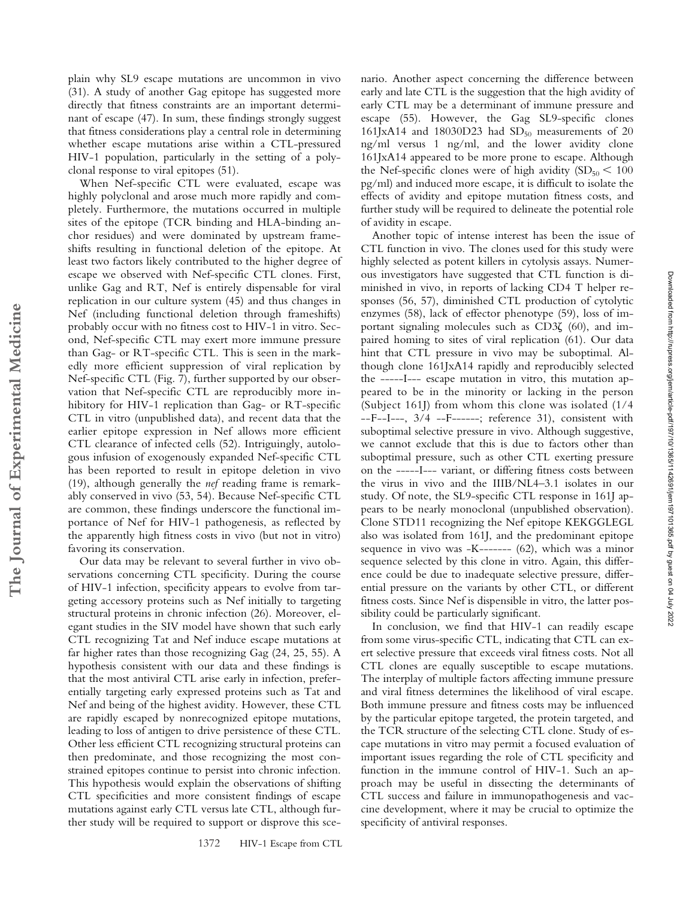plain why SL9 escape mutations are uncommon in vivo (31). A study of another Gag epitope has suggested more directly that fitness constraints are an important determinant of escape (47). In sum, these findings strongly suggest that fitness considerations play a central role in determining whether escape mutations arise within a CTL-pressured HIV-1 population, particularly in the setting of a polyclonal response to viral epitopes (51).

When Nef-specific CTL were evaluated, escape was highly polyclonal and arose much more rapidly and completely. Furthermore, the mutations occurred in multiple sites of the epitope (TCR binding and HLA-binding anchor residues) and were dominated by upstream frameshifts resulting in functional deletion of the epitope. At least two factors likely contributed to the higher degree of escape we observed with Nef-specific CTL clones. First, unlike Gag and RT, Nef is entirely dispensable for viral replication in our culture system (45) and thus changes in Nef (including functional deletion through frameshifts) probably occur with no fitness cost to HIV-1 in vitro. Second, Nef-specific CTL may exert more immune pressure than Gag- or RT-specific CTL. This is seen in the markedly more efficient suppression of viral replication by Nef-specific CTL (Fig. 7), further supported by our observation that Nef-specific CTL are reproducibly more inhibitory for HIV-1 replication than Gag- or RT-specific CTL in vitro (unpublished data), and recent data that the earlier epitope expression in Nef allows more efficient CTL clearance of infected cells (52). Intriguingly, autologous infusion of exogenously expanded Nef-specific CTL has been reported to result in epitope deletion in vivo (19), although generally the *nef* reading frame is remarkably conserved in vivo (53, 54). Because Nef-specific CTL are common, these findings underscore the functional importance of Nef for HIV-1 pathogenesis, as reflected by the apparently high fitness costs in vivo (but not in vitro) favoring its conservation.

**The Journal of Experimental Medicine**

The Journal of Experimental Medicine

Our data may be relevant to several further in vivo observations concerning CTL specificity. During the course of HIV-1 infection, specificity appears to evolve from targeting accessory proteins such as Nef initially to targeting structural proteins in chronic infection (26). Moreover, elegant studies in the SIV model have shown that such early CTL recognizing Tat and Nef induce escape mutations at far higher rates than those recognizing Gag (24, 25, 55). A hypothesis consistent with our data and these findings is that the most antiviral CTL arise early in infection, preferentially targeting early expressed proteins such as Tat and Nef and being of the highest avidity. However, these CTL are rapidly escaped by nonrecognized epitope mutations, leading to loss of antigen to drive persistence of these CTL. Other less efficient CTL recognizing structural proteins can then predominate, and those recognizing the most constrained epitopes continue to persist into chronic infection. This hypothesis would explain the observations of shifting CTL specificities and more consistent findings of escape mutations against early CTL versus late CTL, although further study will be required to support or disprove this scenario. Another aspect concerning the difference between early and late CTL is the suggestion that the high avidity of early CTL may be a determinant of immune pressure and escape (55). However, the Gag SL9-specific clones 161JxA14 and 18030D23 had  $SD<sub>50</sub>$  measurements of 20 ng/ml versus 1 ng/ml, and the lower avidity clone 161JxA14 appeared to be more prone to escape. Although the Nef-specific clones were of high avidity  $(SD_{50} < 100$ pg/ml) and induced more escape, it is difficult to isolate the effects of avidity and epitope mutation fitness costs, and further study will be required to delineate the potential role of avidity in escape.

Another topic of intense interest has been the issue of CTL function in vivo. The clones used for this study were highly selected as potent killers in cytolysis assays. Numerous investigators have suggested that CTL function is diminished in vivo, in reports of lacking CD4 T helper responses (56, 57), diminished CTL production of cytolytic enzymes (58), lack of effector phenotype (59), loss of important signaling molecules such as  $CD3\zeta$  (60), and impaired homing to sites of viral replication (61). Our data hint that CTL pressure in vivo may be suboptimal. Although clone 161JxA14 rapidly and reproducibly selected the -----I--- escape mutation in vitro, this mutation appeared to be in the minority or lacking in the person (Subject 161J) from whom this clone was isolated (1/4 --F--I---, 3/4 --F------; reference 31), consistent with suboptimal selective pressure in vivo. Although suggestive, we cannot exclude that this is due to factors other than suboptimal pressure, such as other CTL exerting pressure on the -----I--- variant, or differing fitness costs between the virus in vivo and the IIIB/NL4–3.1 isolates in our study. Of note, the SL9-specific CTL response in 161J appears to be nearly monoclonal (unpublished observation). Clone STD11 recognizing the Nef epitope KEKGGLEGL also was isolated from 161J, and the predominant epitope sequence in vivo was -K------- (62), which was a minor sequence selected by this clone in vitro. Again, this difference could be due to inadequate selective pressure, differential pressure on the variants by other CTL, or different fitness costs. Since Nef is dispensible in vitro, the latter possibility could be particularly significant.

In conclusion, we find that HIV-1 can readily escape from some virus-specific CTL, indicating that CTL can exert selective pressure that exceeds viral fitness costs. Not all CTL clones are equally susceptible to escape mutations. The interplay of multiple factors affecting immune pressure and viral fitness determines the likelihood of viral escape. Both immune pressure and fitness costs may be influenced by the particular epitope targeted, the protein targeted, and the TCR structure of the selecting CTL clone. Study of escape mutations in vitro may permit a focused evaluation of important issues regarding the role of CTL specificity and function in the immune control of HIV-1. Such an approach may be useful in dissecting the determinants of CTL success and failure in immunopathogenesis and vaccine development, where it may be crucial to optimize the specificity of antiviral responses.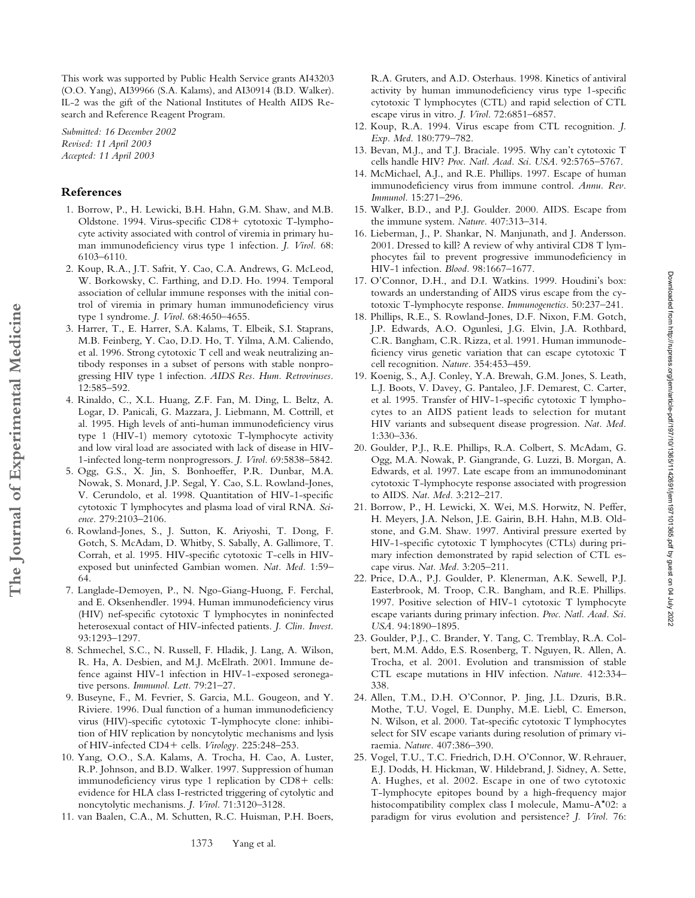This work was supported by Public Health Service grants AI43203 (O.O. Yang), AI39966 (S.A. Kalams), and AI30914 (B.D. Walker). IL-2 was the gift of the National Institutes of Health AIDS Research and Reference Reagent Program.

*Submitted: 16 December 2002 Revised: 11 April 2003 Accepted: 11 April 2003*

#### **References**

**The Journal of Experimental Medicine**

The Journal of Experimental Medicine

- 1. Borrow, P., H. Lewicki, B.H. Hahn, G.M. Shaw, and M.B. Oldstone. 1994. Virus-specific CD8+ cytotoxic T-lymphocyte activity associated with control of viremia in primary human immunodeficiency virus type 1 infection. *J. Virol.* 68: 6103–6110.
- 2. Koup, R.A., J.T. Safrit, Y. Cao, C.A. Andrews, G. McLeod, W. Borkowsky, C. Farthing, and D.D. Ho. 1994. Temporal association of cellular immune responses with the initial control of viremia in primary human immunodeficiency virus type 1 syndrome. *J. Virol.* 68:4650–4655.
- 3. Harrer, T., E. Harrer, S.A. Kalams, T. Elbeik, S.I. Staprans, M.B. Feinberg, Y. Cao, D.D. Ho, T. Yilma, A.M. Caliendo, et al. 1996. Strong cytotoxic T cell and weak neutralizing antibody responses in a subset of persons with stable nonprogressing HIV type 1 infection. *AIDS Res. Hum. Retroviruses.* 12:585–592.
- 4. Rinaldo, C., X.L. Huang, Z.F. Fan, M. Ding, L. Beltz, A. Logar, D. Panicali, G. Mazzara, J. Liebmann, M. Cottrill, et al. 1995. High levels of anti-human immunodeficiency virus type 1 (HIV-1) memory cytotoxic T-lymphocyte activity and low viral load are associated with lack of disease in HIV-1-infected long-term nonprogressors. *J. Virol.* 69:5838–5842.
- 5. Ogg, G.S., X. Jin, S. Bonhoeffer, P.R. Dunbar, M.A. Nowak, S. Monard, J.P. Segal, Y. Cao, S.L. Rowland-Jones, V. Cerundolo, et al. 1998. Quantitation of HIV-1-specific cytotoxic T lymphocytes and plasma load of viral RNA. *Science.* 279:2103–2106.
- 6. Rowland-Jones, S., J. Sutton, K. Ariyoshi, T. Dong, F. Gotch, S. McAdam, D. Whitby, S. Sabally, A. Gallimore, T. Corrah, et al. 1995. HIV-specific cytotoxic T-cells in HIVexposed but uninfected Gambian women. *Nat. Med.* 1:59– 64.
- 7. Langlade-Demoyen, P., N. Ngo-Giang-Huong, F. Ferchal, and E. Oksenhendler. 1994. Human immunodeficiency virus (HIV) nef-specific cytotoxic T lymphocytes in noninfected heterosexual contact of HIV-infected patients. *J. Clin. Invest.* 93:1293–1297.
- 8. Schmechel, S.C., N. Russell, F. Hladik, J. Lang, A. Wilson, R. Ha, A. Desbien, and M.J. McElrath. 2001. Immune defence against HIV-1 infection in HIV-1-exposed seronegative persons. *Immunol. Lett.* 79:21–27.
- 9. Buseyne, F., M. Fevrier, S. Garcia, M.L. Gougeon, and Y. Riviere. 1996. Dual function of a human immunodeficiency virus (HIV)-specific cytotoxic T-lymphocyte clone: inhibition of HIV replication by noncytolytic mechanisms and lysis of HIV-infected CD4+ cells. Virology. 225:248-253.
- 10. Yang, O.O., S.A. Kalams, A. Trocha, H. Cao, A. Luster, R.P. Johnson, and B.D. Walker. 1997. Suppression of human immunodeficiency virus type 1 replication by CD8+ cells: evidence for HLA class I-restricted triggering of cytolytic and noncytolytic mechanisms. *J. Virol.* 71:3120–3128.
- 11. van Baalen, C.A., M. Schutten, R.C. Huisman, P.H. Boers,

R.A. Gruters, and A.D. Osterhaus. 1998. Kinetics of antiviral activity by human immunodeficiency virus type 1-specific cytotoxic T lymphocytes (CTL) and rapid selection of CTL escape virus in vitro. *J. Virol.* 72:6851–6857.

- 12. Koup, R.A. 1994. Virus escape from CTL recognition. *J. Exp. Med.* 180:779–782.
- 13. Bevan, M.J., and T.J. Braciale. 1995. Why can't cytotoxic T cells handle HIV? *Proc. Natl. Acad. Sci. USA.* 92:5765–5767.
- 14. McMichael, A.J., and R.E. Phillips. 1997. Escape of human immunodeficiency virus from immune control. *Annu. Rev. Immunol.* 15:271–296.
- 15. Walker, B.D., and P.J. Goulder. 2000. AIDS. Escape from the immune system. *Nature.* 407:313–314.
- 16. Lieberman, J., P. Shankar, N. Manjunath, and J. Andersson. 2001. Dressed to kill? A review of why antiviral CD8 T lymphocytes fail to prevent progressive immunodeficiency in HIV-1 infection. *Blood.* 98:1667–1677.
- 17. O'Connor, D.H., and D.I. Watkins. 1999. Houdini's box: towards an understanding of AIDS virus escape from the cytotoxic T-lymphocyte response. *Immunogenetics.* 50:237–241.
- 18. Phillips, R.E., S. Rowland-Jones, D.F. Nixon, F.M. Gotch, J.P. Edwards, A.O. Ogunlesi, J.G. Elvin, J.A. Rothbard, C.R. Bangham, C.R. Rizza, et al. 1991. Human immunodeficiency virus genetic variation that can escape cytotoxic T cell recognition. *Nature.* 354:453–459.
- 19. Koenig, S., A.J. Conley, Y.A. Brewah, G.M. Jones, S. Leath, L.J. Boots, V. Davey, G. Pantaleo, J.F. Demarest, C. Carter, et al. 1995. Transfer of HIV-1-specific cytotoxic T lymphocytes to an AIDS patient leads to selection for mutant HIV variants and subsequent disease progression. *Nat. Med.* 1:330–336.
- 20. Goulder, P.J., R.E. Phillips, R.A. Colbert, S. McAdam, G. Ogg, M.A. Nowak, P. Giangrande, G. Luzzi, B. Morgan, A. Edwards, et al. 1997. Late escape from an immunodominant cytotoxic T-lymphocyte response associated with progression to AIDS. *Nat. Med.* 3:212–217.
- 21. Borrow, P., H. Lewicki, X. Wei, M.S. Horwitz, N. Peffer, H. Meyers, J.A. Nelson, J.E. Gairin, B.H. Hahn, M.B. Oldstone, and G.M. Shaw. 1997. Antiviral pressure exerted by HIV-1-specific cytotoxic T lymphocytes (CTLs) during primary infection demonstrated by rapid selection of CTL escape virus. *Nat. Med.* 3:205–211.
- 22. Price, D.A., P.J. Goulder, P. Klenerman, A.K. Sewell, P.J. Easterbrook, M. Troop, C.R. Bangham, and R.E. Phillips. 1997. Positive selection of HIV-1 cytotoxic T lymphocyte escape variants during primary infection. *Proc. Natl. Acad. Sci. USA.* 94:1890–1895.
- 23. Goulder, P.J., C. Brander, Y. Tang, C. Tremblay, R.A. Colbert, M.M. Addo, E.S. Rosenberg, T. Nguyen, R. Allen, A. Trocha, et al. 2001. Evolution and transmission of stable CTL escape mutations in HIV infection. *Nature.* 412:334– 338.
- 24. Allen, T.M., D.H. O'Connor, P. Jing, J.L. Dzuris, B.R. Mothe, T.U. Vogel, E. Dunphy, M.E. Liebl, C. Emerson, N. Wilson, et al. 2000. Tat-specific cytotoxic T lymphocytes select for SIV escape variants during resolution of primary viraemia. *Nature.* 407:386–390.
- 25. Vogel, T.U., T.C. Friedrich, D.H. O'Connor, W. Rehrauer, E.J. Dodds, H. Hickman, W. Hildebrand, J. Sidney, A. Sette, A. Hughes, et al. 2002. Escape in one of two cytotoxic T-lymphocyte epitopes bound by a high-frequency major histocompatibility complex class I molecule, Mamu-A\*02: a paradigm for virus evolution and persistence? *J. Virol.* 76: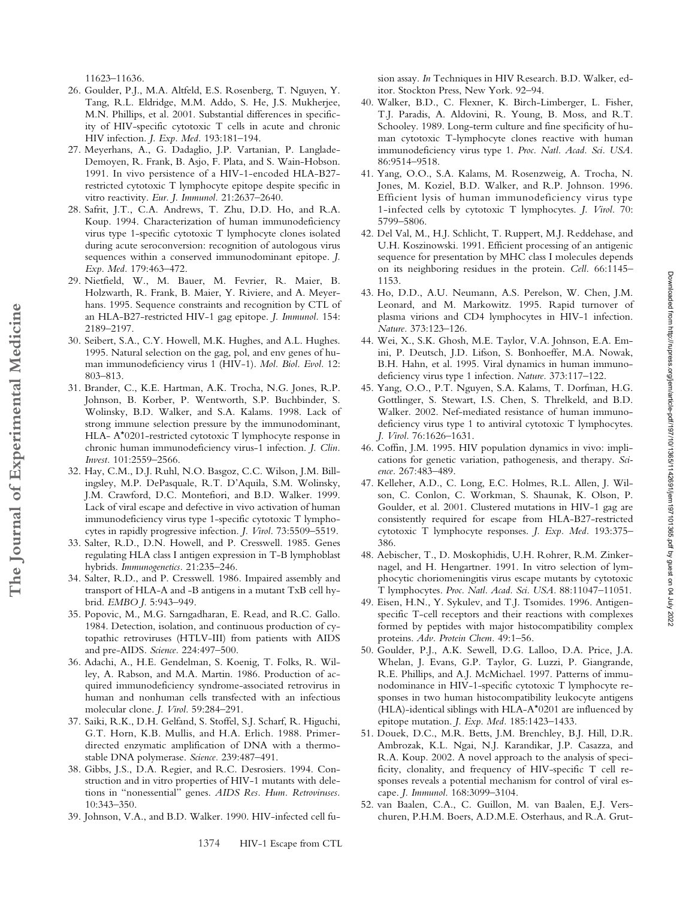11623–11636.

- 26. Goulder, P.J., M.A. Altfeld, E.S. Rosenberg, T. Nguyen, Y. Tang, R.L. Eldridge, M.M. Addo, S. He, J.S. Mukherjee, M.N. Phillips, et al. 2001. Substantial differences in specificity of HIV-specific cytotoxic T cells in acute and chronic HIV infection. *J. Exp. Med.* 193:181–194.
- 27. Meyerhans, A., G. Dadaglio, J.P. Vartanian, P. Langlade-Demoyen, R. Frank, B. Asjo, F. Plata, and S. Wain-Hobson. 1991. In vivo persistence of a HIV-1-encoded HLA-B27 restricted cytotoxic T lymphocyte epitope despite specific in vitro reactivity. *Eur. J. Immunol.* 21:2637–2640.
- 28. Safrit, J.T., C.A. Andrews, T. Zhu, D.D. Ho, and R.A. Koup. 1994. Characterization of human immunodeficiency virus type 1-specific cytotoxic T lymphocyte clones isolated during acute seroconversion: recognition of autologous virus sequences within a conserved immunodominant epitope. *J. Exp. Med.* 179:463–472.
- 29. Nietfield, W., M. Bauer, M. Fevrier, R. Maier, B. Holzwarth, R. Frank, B. Maier, Y. Riviere, and A. Meyerhans. 1995. Sequence constraints and recognition by CTL of an HLA-B27-restricted HIV-1 gag epitope. *J. Immunol.* 154: 2189–2197.
- 30. Seibert, S.A., C.Y. Howell, M.K. Hughes, and A.L. Hughes. 1995. Natural selection on the gag, pol, and env genes of human immunodeficiency virus 1 (HIV-1). *Mol. Biol. Evol.* 12: 803–813.
- 31. Brander, C., K.E. Hartman, A.K. Trocha, N.G. Jones, R.P. Johnson, B. Korber, P. Wentworth, S.P. Buchbinder, S. Wolinsky, B.D. Walker, and S.A. Kalams. 1998. Lack of strong immune selection pressure by the immunodominant, HLA- A\*0201-restricted cytotoxic T lymphocyte response in chronic human immunodeficiency virus-1 infection. *J. Clin. Invest.* 101:2559–2566.
- 32. Hay, C.M., D.J. Ruhl, N.O. Basgoz, C.C. Wilson, J.M. Billingsley, M.P. DePasquale, R.T. D'Aquila, S.M. Wolinsky, J.M. Crawford, D.C. Montefiori, and B.D. Walker. 1999. Lack of viral escape and defective in vivo activation of human immunodeficiency virus type 1-specific cytotoxic T lymphocytes in rapidly progressive infection. *J. Virol.* 73:5509–5519.
- 33. Salter, R.D., D.N. Howell, and P. Cresswell. 1985. Genes regulating HLA class I antigen expression in T-B lymphoblast hybrids. *Immunogenetics.* 21:235–246.
- 34. Salter, R.D., and P. Cresswell. 1986. Impaired assembly and transport of HLA-A and -B antigens in a mutant TxB cell hybrid. *EMBO J.* 5:943–949.
- 35. Popovic, M., M.G. Sarngadharan, E. Read, and R.C. Gallo. 1984. Detection, isolation, and continuous production of cytopathic retroviruses (HTLV-III) from patients with AIDS and pre-AIDS. *Science.* 224:497–500.
- 36. Adachi, A., H.E. Gendelman, S. Koenig, T. Folks, R. Willey, A. Rabson, and M.A. Martin. 1986. Production of acquired immunodeficiency syndrome-associated retrovirus in human and nonhuman cells transfected with an infectious molecular clone. *J. Virol.* 59:284–291.
- 37. Saiki, R.K., D.H. Gelfand, S. Stoffel, S.J. Scharf, R. Higuchi, G.T. Horn, K.B. Mullis, and H.A. Erlich. 1988. Primerdirected enzymatic amplification of DNA with a thermostable DNA polymerase. *Science.* 239:487–491.
- 38. Gibbs, J.S., D.A. Regier, and R.C. Desrosiers. 1994. Construction and in vitro properties of HIV-1 mutants with deletions in "nonessential" genes. *AIDS Res. Hum. Retroviruses.* 10:343–350.
- 39. Johnson, V.A., and B.D. Walker. 1990. HIV-infected cell fu-

1374 HIV-1 Escape from CTL

sion assay. *In* Techniques in HIV Research. B.D. Walker, editor. Stockton Press, New York. 92–94.

- 40. Walker, B.D., C. Flexner, K. Birch-Limberger, L. Fisher, T.J. Paradis, A. Aldovini, R. Young, B. Moss, and R.T. Schooley. 1989. Long-term culture and fine specificity of human cytotoxic T-lymphocyte clones reactive with human immunodeficiency virus type 1. *Proc. Natl. Acad. Sci. USA.* 86:9514–9518.
- 41. Yang, O.O., S.A. Kalams, M. Rosenzweig, A. Trocha, N. Jones, M. Koziel, B.D. Walker, and R.P. Johnson. 1996. Efficient lysis of human immunodeficiency virus type 1-infected cells by cytotoxic T lymphocytes. *J. Virol.* 70: 5799–5806.
- 42. Del Val, M., H.J. Schlicht, T. Ruppert, M.J. Reddehase, and U.H. Koszinowski. 1991. Efficient processing of an antigenic sequence for presentation by MHC class I molecules depends on its neighboring residues in the protein. *Cell.* 66:1145– 1153.
- 43. Ho, D.D., A.U. Neumann, A.S. Perelson, W. Chen, J.M. Leonard, and M. Markowitz. 1995. Rapid turnover of plasma virions and CD4 lymphocytes in HIV-1 infection. *Nature.* 373:123–126.
- 44. Wei, X., S.K. Ghosh, M.E. Taylor, V.A. Johnson, E.A. Emini, P. Deutsch, J.D. Lifson, S. Bonhoeffer, M.A. Nowak, B.H. Hahn, et al. 1995. Viral dynamics in human immunodeficiency virus type 1 infection. *Nature.* 373:117–122.
- 45. Yang, O.O., P.T. Nguyen, S.A. Kalams, T. Dorfman, H.G. Gottlinger, S. Stewart, I.S. Chen, S. Threlkeld, and B.D. Walker. 2002. Nef-mediated resistance of human immunodeficiency virus type 1 to antiviral cytotoxic T lymphocytes. *J. Virol.* 76:1626–1631.
- 46. Coffin, J.M. 1995. HIV population dynamics in vivo: implications for genetic variation, pathogenesis, and therapy. *Science.* 267:483–489.
- 47. Kelleher, A.D., C. Long, E.C. Holmes, R.L. Allen, J. Wilson, C. Conlon, C. Workman, S. Shaunak, K. Olson, P. Goulder, et al. 2001. Clustered mutations in HIV-1 gag are consistently required for escape from HLA-B27-restricted cytotoxic T lymphocyte responses. *J. Exp. Med.* 193:375– 386.
- 48. Aebischer, T., D. Moskophidis, U.H. Rohrer, R.M. Zinkernagel, and H. Hengartner. 1991. In vitro selection of lymphocytic choriomeningitis virus escape mutants by cytotoxic T lymphocytes. *Proc. Natl. Acad. Sci. USA.* 88:11047–11051.
- 49. Eisen, H.N., Y. Sykulev, and T.J. Tsomides. 1996. Antigenspecific T-cell receptors and their reactions with complexes formed by peptides with major histocompatibility complex proteins. *Adv. Protein Chem.* 49:1–56.
- 50. Goulder, P.J., A.K. Sewell, D.G. Lalloo, D.A. Price, J.A. Whelan, J. Evans, G.P. Taylor, G. Luzzi, P. Giangrande, R.E. Phillips, and A.J. McMichael. 1997. Patterns of immunodominance in HIV-1-specific cytotoxic T lymphocyte responses in two human histocompatibility leukocyte antigens (HLA)-identical siblings with HLA-A\*0201 are influenced by epitope mutation. *J. Exp. Med.* 185:1423–1433.
- 51. Douek, D.C., M.R. Betts, J.M. Brenchley, B.J. Hill, D.R. Ambrozak, K.L. Ngai, N.J. Karandikar, J.P. Casazza, and R.A. Koup. 2002. A novel approach to the analysis of specificity, clonality, and frequency of HIV-specific T cell responses reveals a potential mechanism for control of viral escape. *J. Immunol.* 168:3099–3104.
- 52. van Baalen, C.A., C. Guillon, M. van Baalen, E.J. Verschuren, P.H.M. Boers, A.D.M.E. Osterhaus, and R.A. Grut-